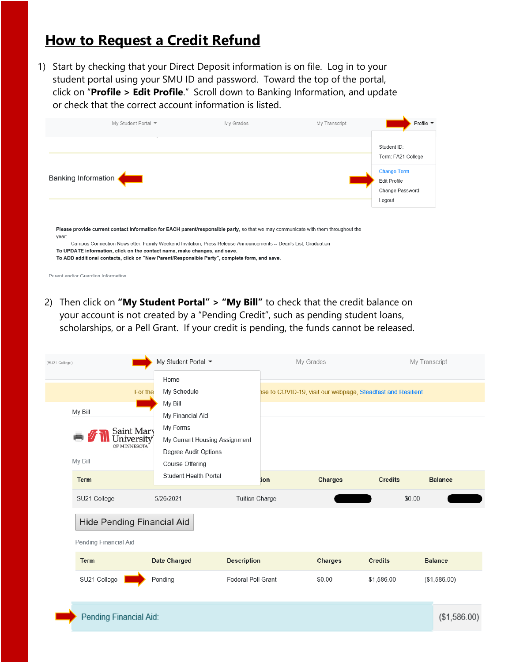## **How to Request a Credit Refund**

1) Start by checking that your Direct Deposit information is on file. Log in to your student portal using your SMU ID and password. Toward the top of the portal, click on "**Profile > Edit Profile**." Scroll down to Banking Information, and update or check that the correct account information is listed.

| My Student Portal ▼                                                                                                                                                                                                                                           | My Grades                                                                                     | My Transcript | Profile $\blacktriangleright$     |  |  |  |
|---------------------------------------------------------------------------------------------------------------------------------------------------------------------------------------------------------------------------------------------------------------|-----------------------------------------------------------------------------------------------|---------------|-----------------------------------|--|--|--|
|                                                                                                                                                                                                                                                               |                                                                                               |               | Student ID:<br>Term: FA21 College |  |  |  |
| Banking Information                                                                                                                                                                                                                                           | <b>Change Term</b><br><b>Edit Profile</b><br>Change Password<br>Logout                        |               |                                   |  |  |  |
| Please provide current contact information for EACH parent/responsible party, so that we may communicate with them throughout the<br>year:<br>Campus Connection Newsletter, Family Weekend Invitation, Press Release Announcements -- Dean's List, Graduation |                                                                                               |               |                                   |  |  |  |
| To UPDATE information, click on the contact name, make changes, and save.                                                                                                                                                                                     | To ADD additional contacts, click on "New Parent/Responsible Party", complete form, and save. |               |                                   |  |  |  |

Parent and/or Guardian Information

2) Then click on **"My Student Portal" > "My Bill"** to check that the credit balance on your account is not created by a "Pending Credit", such as pending student loans, scholarships, or a Pell Grant. If your credit is pending, the funds cannot be released.

| (SU21 College)                                      | My Student Portal ▼                                                                              |                           | My Grades                                                   |                |                | My Transcript  |  |  |  |
|-----------------------------------------------------|--------------------------------------------------------------------------------------------------|---------------------------|-------------------------------------------------------------|----------------|----------------|----------------|--|--|--|
| For the                                             | Home<br>My Schedule                                                                              |                           | ise to COVID-19, visit our webpage, Steadfast and Resilient |                |                |                |  |  |  |
| My Bill<br>Saint Mary<br>University<br>OF MINNESOTA | My Bill<br>My Financial Aid<br>My Forms<br>My Current Housing Assignment<br>Degree Audit Options |                           |                                                             |                |                |                |  |  |  |
| My Bill                                             | Course Offering<br><b>Student Health Portal</b>                                                  |                           |                                                             |                |                |                |  |  |  |
| <b>Term</b>                                         |                                                                                                  |                           | ion                                                         | <b>Charges</b> | <b>Credits</b> | <b>Balance</b> |  |  |  |
| SU21 College                                        | 5/26/2021                                                                                        | <b>Tuition Charge</b>     |                                                             |                | \$0.00         |                |  |  |  |
| Hide Pending Financial Aid                          |                                                                                                  |                           |                                                             |                |                |                |  |  |  |
| Pending Financial Aid                               |                                                                                                  |                           |                                                             |                |                |                |  |  |  |
| <b>Term</b>                                         | Date Charged                                                                                     | <b>Description</b>        |                                                             | Charges        | <b>Credits</b> | <b>Balance</b> |  |  |  |
| SU21 College                                        | Pending                                                                                          | <b>Federal Pell Grant</b> |                                                             | \$0.00         | \$1,586.00     | (\$1,586.00)   |  |  |  |
| Pending Financial Aid:                              |                                                                                                  |                           |                                                             |                |                | (\$1,586.00)   |  |  |  |